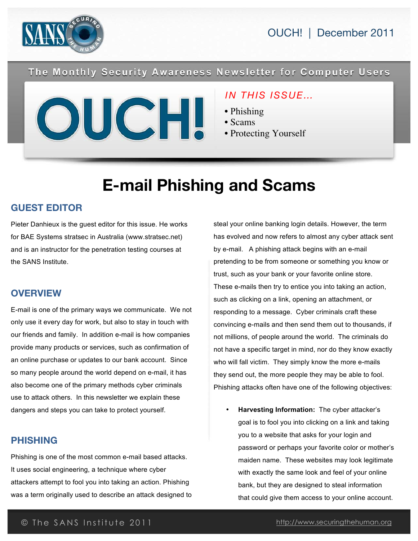

OUCH! | December 2011

The Monthly Security Awareness Newsletter for Computer Users



### *IN THIS ISSUE…*

• Phishing

• Recovery

- Scams
- Protecting Yourself

# **E-mail Phishing and Scams**

### **GUEST EDITOR**

Pieter Danhieux is the guest editor for this issue. He works for BAE Systems stratsec in Australia (www.stratsec.net) and is an instructor for the penetration testing courses at the SANS Institute.

### **OVERVIEW**

E-mail is one of the primary ways we communicate. We not only use it every day for work, but also to stay in touch with our friends and family. In addition e-mail is how companies provide many products or services, such as confirmation of an online purchase or updates to our bank account. Since so many people around the world depend on e-mail, it has also become one of the primary methods cyber criminals use to attack others. In this newsletter we explain these dangers and steps you can take to protect yourself.

### **PHISHING**

Phishing is one of the most common e-mail based attacks. It uses social engineering, a technique where cyber attackers attempt to fool you into taking an action. Phishing was a term originally used to describe an attack designed to steal your online banking login details. However, the term has evolved and now refers to almost any cyber attack sent by e-mail. A phishing attack begins with an e-mail pretending to be from someone or something you know or trust, such as your bank or your favorite online store. These e-mails then try to entice you into taking an action, such as clicking on a link, opening an attachment, or responding to a message. Cyber criminals craft these convincing e-mails and then send them out to thousands, if not millions, of people around the world. The criminals do not have a specific target in mind, nor do they know exactly who will fall victim. They simply know the more e-mails they send out, the more people they may be able to fool. Phishing attacks often have one of the following objectives:

• **Harvesting Information:** The cyber attacker's goal is to fool you into clicking on a link and taking you to a website that asks for your login and password or perhaps your favorite color or mother's maiden name. These websites may look legitimate with exactly the same look and feel of your online bank, but they are designed to steal information that could give them access to your online account.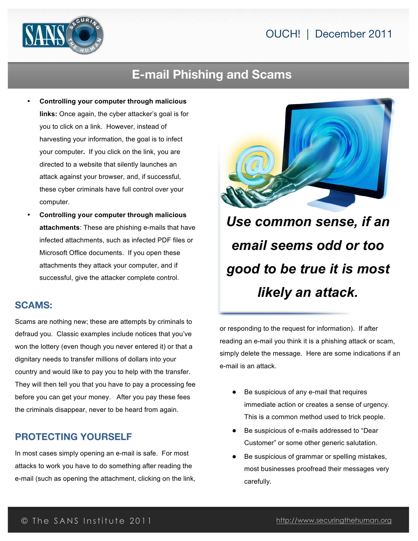### OUCH! | December 2011



### **E-mail Phishing and Scams**

- **Controlling your computer through malicious links:** Once again, the cyber attacker's goal is for you to click on a link. However, instead of harvesting your information, the goal is to infect your computer**.** If you click on the link, you are directed to a website that silently launches an attack against your browser, and, if successful, these cyber criminals have full control over your computer.
- **Controlling your computer through malicious attachments**: These are phishing e-mails that have infected attachments, such as infected PDF files or Microsoft Office documents. If you open these attachments they attack your computer, and if successful, give the attacker complete control.

#### **SCAMS:**

Scams are nothing new; these are attempts by criminals to defraud you. Classic examples include notices that you've won the lottery (even though you never entered it) or that a dignitary needs to transfer millions of dollars into your country and would like to pay you to help with the transfer. They will then tell you that you have to pay a processing fee before you can get your money. After you pay these fees the criminals disappear, never to be heard from again.

### **PROTECTING YOURSELF**

In most cases simply opening an e-mail is safe. For most attacks to work you have to do something after reading the e-mail (such as opening the attachment, clicking on the link,



*Use common sense, if an email seems odd or too good to be true it is most likely an attack.*

or responding to the request for information). If after reading an e-mail you think it is a phishing attack or scam, simply delete the message. Here are some indications if an e-mail is an attack.

- **●** Be suspicious of any e-mail that requires immediate action or creates a sense of urgency. This is a common method used to trick people.
- **●** Be suspicious of e-mails addressed to "Dear Customer" or some other generic salutation.
- **●** Be suspicious of grammar or spelling mistakes, most businesses proofread their messages very carefully.